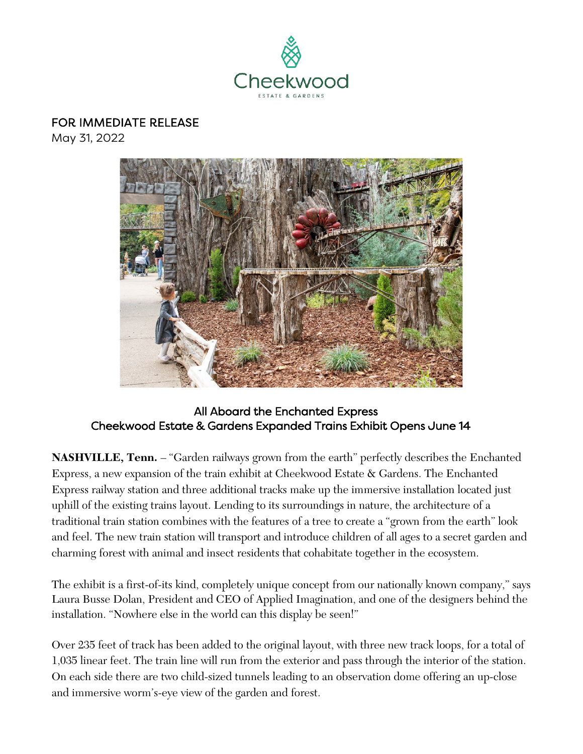

# FOR IMMEDIATE RELEASE

May 31, 2022



### All Aboard the Enchanted Express Cheekwood Estate & Gardens Expanded Trains Exhibit Opens June 14

**NASHVILLE, Tenn.** – "Garden railways grown from the earth" perfectly describes the Enchanted Express, a new expansion of the train exhibit at Cheekwood Estate & Gardens. The Enchanted Express railway station and three additional tracks make up the immersive installation located just uphill of the existing trains layout. Lending to its surroundings in nature, the architecture of a traditional train station combines with the features of a tree to create a "grown from the earth" look and feel. The new train station will transport and introduce children of all ages to a secret garden and charming forest with animal and insect residents that cohabitate together in the ecosystem.

The exhibit is a first-of-its kind, completely unique concept from our nationally known company," says Laura Busse Dolan, President and CEO of Applied Imagination, and one of the designers behind the installation. "Nowhere else in the world can this display be seen!"

Over 235 feet of track has been added to the original layout, with three new track loops, for a total of 1,035 linear feet. The train line will run from the exterior and pass through the interior of the station. On each side there are two child-sized tunnels leading to an observation dome offering an up-close and immersive worm's-eye view of the garden and forest.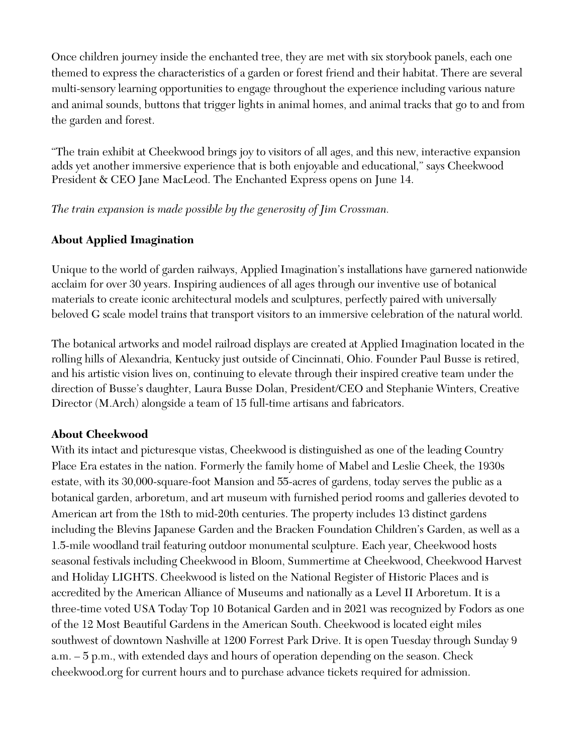Once children journey inside the enchanted tree, they are met with six storybook panels, each one themed to express the characteristics of a garden or forest friend and their habitat. There are several multi-sensory learning opportunities to engage throughout the experience including various nature and animal sounds, buttons that trigger lights in animal homes, and animal tracks that go to and from the garden and forest.

"The train exhibit at Cheekwood brings joy to visitors of all ages, and this new, interactive expansion adds yet another immersive experience that is both enjoyable and educational," says Cheekwood President & CEO Jane MacLeod. The Enchanted Express opens on June 14.

*The train expansion is made possible by the generosity of Jim Crossman.*

### **About Applied Imagination**

Unique to the world of garden railways, Applied Imagination's installations have garnered nationwide acclaim for over 30 years. Inspiring audiences of all ages through our inventive use of botanical materials to create iconic architectural models and sculptures, perfectly paired with universally beloved G scale model trains that transport visitors to an immersive celebration of the natural world.

The botanical artworks and model railroad displays are created at Applied Imagination located in the rolling hills of Alexandria, Kentucky just outside of Cincinnati, Ohio. Founder Paul Busse is retired, and his artistic vision lives on, continuing to elevate through their inspired creative team under the direction of Busse's daughter, Laura Busse Dolan, President/CEO and Stephanie Winters, Creative Director (M.Arch) alongside a team of 15 full-time artisans and fabricators.

#### **About Cheekwood**

With its intact and picturesque vistas, Cheekwood is distinguished as one of the leading Country Place Era estates in the nation. Formerly the family home of Mabel and Leslie Cheek, the 1930s estate, with its 30,000-square-foot Mansion and 55-acres of gardens, today serves the public as a botanical garden, arboretum, and art museum with furnished period rooms and galleries devoted to American art from the 18th to mid-20th centuries. The property includes 13 distinct gardens including the Blevins Japanese Garden and the Bracken Foundation Children's Garden, as well as a 1.5-mile woodland trail featuring outdoor monumental sculpture. Each year, Cheekwood hosts seasonal festivals including Cheekwood in Bloom, Summertime at Cheekwood, Cheekwood Harvest and Holiday LIGHTS. Cheekwood is listed on the National Register of Historic Places and is accredited by the American Alliance of Museums and nationally as a Level II Arboretum. It is a three-time voted USA Today Top 10 Botanical Garden and in 2021 was recognized by Fodors as one of the 12 Most Beautiful Gardens in the American South. Cheekwood is located eight miles southwest of downtown Nashville at 1200 Forrest Park Drive. It is open Tuesday through Sunday 9 a.m. – 5 p.m., with extended days and hours of operation depending on the season. Check cheekwood.org for current hours and to purchase advance tickets required for admission.